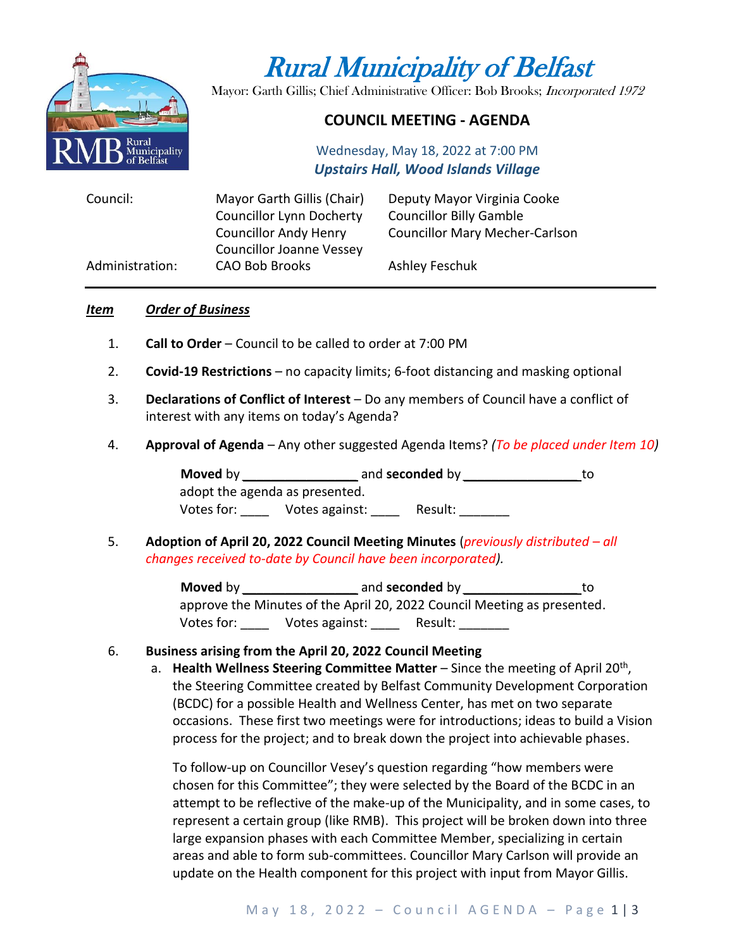

# Rural Municipality of Belfast

Mayor: Garth Gillis; Chief Administrative Officer: Bob Brooks; Incorporated 1972

## **COUNCIL MEETING - AGENDA**

Wednesday, May 18, 2022 at 7:00 PM *Upstairs Hall, Wood Islands Village*

| Council:        | Mayor Garth Gillis (Chair)      | Deputy Mayor Virginia Cooke           |
|-----------------|---------------------------------|---------------------------------------|
|                 | <b>Councillor Lynn Docherty</b> | <b>Councillor Billy Gamble</b>        |
|                 | <b>Councillor Andy Henry</b>    | <b>Councillor Mary Mecher-Carlson</b> |
|                 | <b>Councillor Joanne Vessey</b> |                                       |
| Administration: | <b>CAO Bob Brooks</b>           | Ashley Feschuk                        |

#### *Item Order of Business*

- 1. **Call to Order** Council to be called to order at 7:00 PM
- 2. **Covid-19 Restrictions**  no capacity limits; 6-foot distancing and masking optional
- 3. **Declarations of Conflict of Interest** Do any members of Council have a conflict of interest with any items on today's Agenda?
- 4. **Approval of Agenda** Any other suggested Agenda Items? *(To be placed under Item 10)*

**Moved** by *\_\_\_\_\_\_\_\_\_\_\_\_\_\_\_\_* and **seconded** by *\_\_\_\_\_\_\_\_\_\_\_\_\_\_\_\_* to adopt the agenda as presented. Votes for: <br>Votes against: Persult:

5. **Adoption of April 20, 2022 Council Meeting Minutes** (*previously distributed – all changes received to-date by Council have been incorporated).*

> **Moved** by \_\_\_\_\_\_\_\_\_\_\_\_\_\_\_\_\_\_\_\_\_\_\_\_ and **seconded** by \_\_\_\_\_\_\_\_\_\_\_\_\_\_\_\_\_\_\_\_\_\_\_\_\_\_\_ approve the Minutes of the April 20, 2022 Council Meeting as presented. Votes for: \_\_\_\_\_ Votes against: \_\_\_\_ Result: \_\_\_\_\_\_\_

#### 6. **Business arising from the April 20, 2022 Council Meeting**

a. Health Wellness Steering Committee Matter – Since the meeting of April 20<sup>th</sup>, the Steering Committee created by Belfast Community Development Corporation (BCDC) for a possible Health and Wellness Center, has met on two separate occasions. These first two meetings were for introductions; ideas to build a Vision process for the project; and to break down the project into achievable phases.

To follow-up on Councillor Vesey's question regarding "how members were chosen for this Committee"; they were selected by the Board of the BCDC in an attempt to be reflective of the make-up of the Municipality, and in some cases, to represent a certain group (like RMB). This project will be broken down into three large expansion phases with each Committee Member, specializing in certain areas and able to form sub-committees. Councillor Mary Carlson will provide an update on the Health component for this project with input from Mayor Gillis.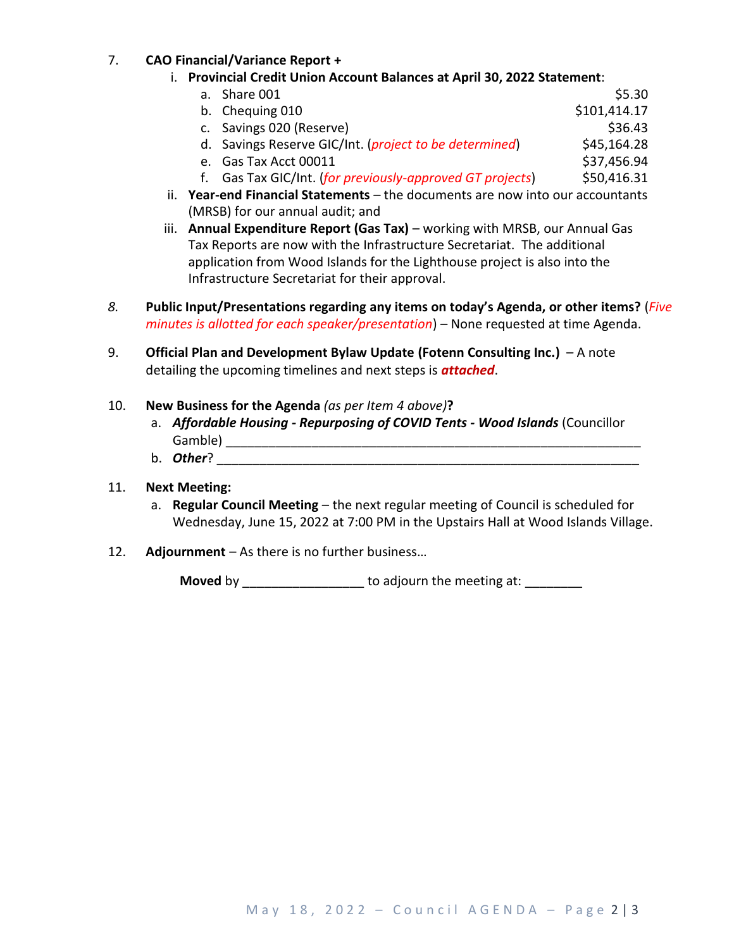### 7. **CAO Financial/Variance Report +**

- i. **Provincial Credit Union Account Balances at April 30, 2022 Statement**:
	- a. Share 001 **\$5.30** b. Chequing 010  $$101,414.17$
	- c. Savings 020 (Reserve)  $\sim$  \$36.43
	- d. Savings Reserve GIC/Int. (*project to be determined*) \$45,164.28
	- e. Gas Tax Acct 00011 \$37,456.94
	- f. Gas Tax GIC/Int. (*for previously-approved GT projects*) \$50,416.31
- ii. **Year-end Financial Statements** the documents are now into our accountants (MRSB) for our annual audit; and
- iii. **Annual Expenditure Report (Gas Tax)** working with MRSB, our Annual Gas Tax Reports are now with the Infrastructure Secretariat. The additional application from Wood Islands for the Lighthouse project is also into the Infrastructure Secretariat for their approval.
- *8.* **Public Input/Presentations regarding any items on today's Agenda, or other items?** (*Five minutes is allotted for each speaker/presentation*) – None requested at time Agenda.
- 9. **Official Plan and Development Bylaw Update (Fotenn Consulting Inc.)**  A note detailing the upcoming timelines and next steps is *attached*.
- 10. **New Business for the Agenda** *(as per Item 4 above)***?**
	- a. *Affordable Housing - Repurposing of COVID Tents - Wood Islands* (Councillor Gamble) **Example**  $\overline{a}$
	- b. *Other*? \_\_\_\_\_\_\_\_\_\_\_\_\_\_\_\_\_\_\_\_\_\_\_\_\_\_\_\_\_\_\_\_\_\_\_\_\_\_\_\_\_\_\_\_\_\_\_\_\_\_\_\_\_\_\_\_\_\_\_

#### 11. **Next Meeting:**

- a. **Regular Council Meeting**  the next regular meeting of Council is scheduled for Wednesday, June 15, 2022 at 7:00 PM in the Upstairs Hall at Wood Islands Village.
- 12. **Adjournment** As there is no further business…

**Moved** by **Example 20** to adjourn the meeting at: